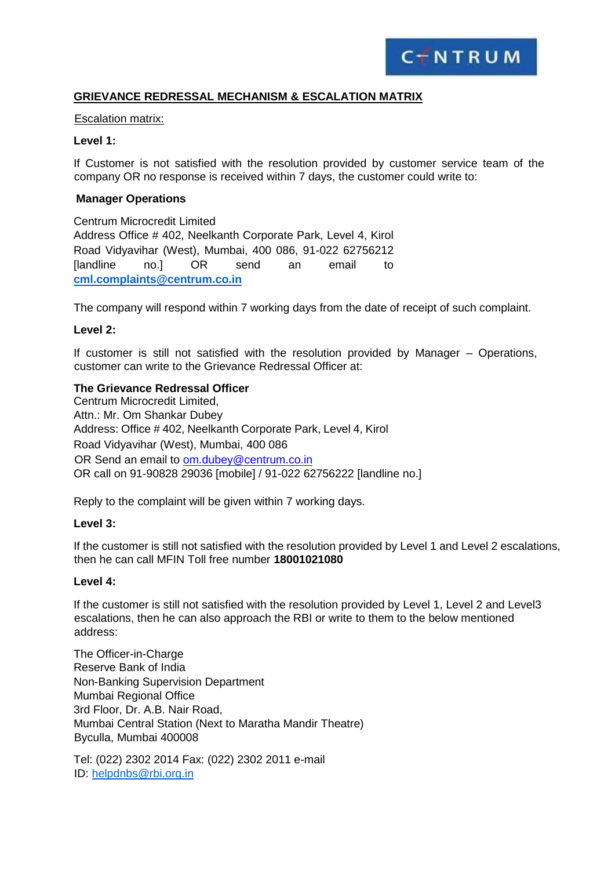

# **GRIEVANCE REDRESSAL MECHANISM & ESCALATION MATRIX**

#### Escalation matrix:

#### **Level 1:**

If Customer is not satisfied with the resolution provided by customer service team of the company OR no response is received within 7 days, the customer could write to:

#### **Manager Operations**

Centrum Microcredit Limited Address Office # 402, Neelkanth Corporate Park, Level 4, Kirol Road Vidyavihar (West), Mumbai, 400 086, 91-022 62756212 [landline no.] OR send an email to **[cml.complaints@centrum.co.in](mailto:cml.complaints@centrum.co.in)**

The company will respond within 7 working days from the date of receipt of such complaint.

#### **Level 2:**

If customer is still not satisfied with the resolution provided by Manager – Operations, customer can write to the Grievance Redressal Officer at:

#### **The Grievance Redressal Officer**

Centrum Microcredit Limited, Attn.: Mr. Om Shankar Dubey Address: Office # 402, Neelkanth Corporate Park, Level 4, Kirol Road Vidyavihar (West), Mumbai, 400 086 OR Send an email to [om.dubey@centrum.co.in](mailto:om.dubey@centrum.co.in) OR call on 91-90828 29036 [mobile] / 91-022 62756222 [landline no.]

Reply to the complaint will be given within 7 working days.

#### **Level 3:**

If the customer is still not satisfied with the resolution provided by Level 1 and Level 2 escalations, then he can call MFIN Toll free number **18001021080**

#### **Level 4:**

If the customer is still not satisfied with the resolution provided by Level 1, Level 2 and Level3 escalations, then he can also approach the RBI or write to them to the below mentioned address:

The Officer-in-Charge Reserve Bank of India Non-Banking Supervision Department Mumbai Regional Office 3rd Floor, Dr. A.B. Nair Road, Mumbai Central Station (Next to Maratha Mandir Theatre) Byculla, Mumbai 400008

Tel: (022) 2302 2014 Fax: (022) 2302 2011 e-mail ID: [helpdnbs@rbi.org.in](mailto:helpdnbs@rbi.org.in)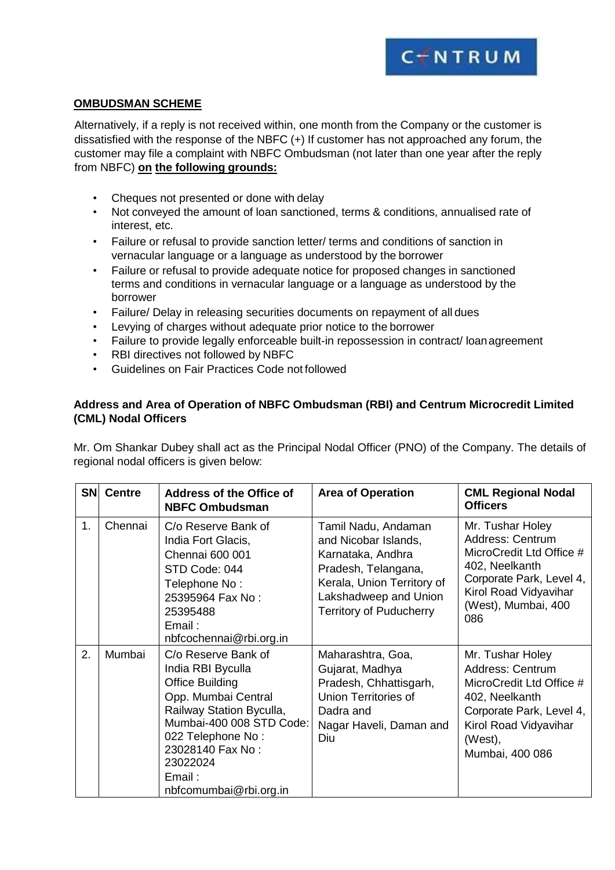

### **OMBUDSMAN SCHEME**

Alternatively, if a reply is not received within, one month from the Company or the customer is dissatisfied with the response of the NBFC (+) If customer has not approached any forum, the customer may file a complaint with NBFC Ombudsman (not later than one year after the reply from NBFC) **on the following grounds:**

- Cheques not presented or done with delay
- Not conveyed the amount of loan sanctioned, terms & conditions, annualised rate of interest, etc.
- Failure or refusal to provide sanction letter/ terms and conditions of sanction in vernacular language or a language as understood by the borrower
- Failure or refusal to provide adequate notice for proposed changes in sanctioned terms and conditions in vernacular language or a language as understood by the borrower
- Failure/ Delay in releasing securities documents on repayment of all dues
- Levying of charges without adequate prior notice to the borrower
- Failure to provide legally enforceable built-in repossession in contract/ loanagreement
- RBI directives not followed by NBFC
- Guidelines on Fair Practices Code not followed

# **Address and Area of Operation of NBFC Ombudsman (RBI) and Centrum Microcredit Limited (CML) Nodal Officers**

Mr. Om Shankar Dubey shall act as the Principal Nodal Officer (PNO) of the Company. The details of regional nodal officers is given below:

| <b>SN</b> | <b>Centre</b> | <b>Address of the Office of</b><br><b>NBFC Ombudsman</b>                                                                                                                                                                                   | <b>Area of Operation</b>                                                                                                                                                         | <b>CML Regional Nodal</b><br><b>Officers</b>                                                                                                                          |
|-----------|---------------|--------------------------------------------------------------------------------------------------------------------------------------------------------------------------------------------------------------------------------------------|----------------------------------------------------------------------------------------------------------------------------------------------------------------------------------|-----------------------------------------------------------------------------------------------------------------------------------------------------------------------|
| 1.        | Chennai       | C/o Reserve Bank of<br>India Fort Glacis,<br>Chennai 600 001<br>STD Code: 044<br>Telephone No:<br>25395964 Fax No:<br>25395488<br>Email:<br>nbfcochennai@rbi.org.in                                                                        | Tamil Nadu, Andaman<br>and Nicobar Islands,<br>Karnataka, Andhra<br>Pradesh, Telangana,<br>Kerala, Union Territory of<br>Lakshadweep and Union<br><b>Territory of Puducherry</b> | Mr. Tushar Holey<br>Address: Centrum<br>MicroCredit Ltd Office #<br>402, Neelkanth<br>Corporate Park, Level 4,<br>Kirol Road Vidyavihar<br>(West), Mumbai, 400<br>086 |
| 2.        | Mumbai        | C/o Reserve Bank of<br>India RBI Byculla<br><b>Office Building</b><br>Opp. Mumbai Central<br>Railway Station Byculla,<br>Mumbai-400 008 STD Code:<br>022 Telephone No:<br>23028140 Fax No:<br>23022024<br>Email:<br>nbfcomumbai@rbi.org.in | Maharashtra, Goa,<br>Gujarat, Madhya<br>Pradesh, Chhattisgarh,<br>Union Territories of<br>Dadra and<br>Nagar Haveli, Daman and<br>Diu                                            | Mr. Tushar Holey<br>Address: Centrum<br>MicroCredit Ltd Office #<br>402, Neelkanth<br>Corporate Park, Level 4,<br>Kirol Road Vidyavihar<br>(West),<br>Mumbai, 400 086 |